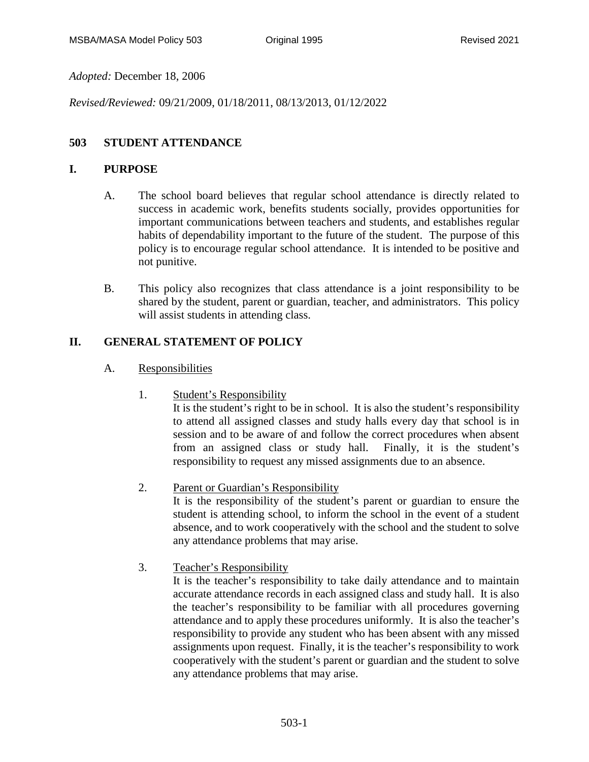*Adopted:* December 18, 2006

*Revised/Reviewed:* 09/21/2009, 01/18/2011, 08/13/2013, 01/12/2022

# **503 STUDENT ATTENDANCE**

## **I. PURPOSE**

- A. The school board believes that regular school attendance is directly related to success in academic work, benefits students socially, provides opportunities for important communications between teachers and students, and establishes regular habits of dependability important to the future of the student. The purpose of this policy is to encourage regular school attendance. It is intended to be positive and not punitive.
- B. This policy also recognizes that class attendance is a joint responsibility to be shared by the student, parent or guardian, teacher, and administrators. This policy will assist students in attending class.

# **II. GENERAL STATEMENT OF POLICY**

- A. Responsibilities
	- 1. Student's Responsibility

It is the student's right to be in school. It is also the student's responsibility to attend all assigned classes and study halls every day that school is in session and to be aware of and follow the correct procedures when absent from an assigned class or study hall. Finally, it is the student's responsibility to request any missed assignments due to an absence.

2. Parent or Guardian's Responsibility

It is the responsibility of the student's parent or guardian to ensure the student is attending school, to inform the school in the event of a student absence, and to work cooperatively with the school and the student to solve any attendance problems that may arise.

3. Teacher's Responsibility

It is the teacher's responsibility to take daily attendance and to maintain accurate attendance records in each assigned class and study hall. It is also the teacher's responsibility to be familiar with all procedures governing attendance and to apply these procedures uniformly. It is also the teacher's responsibility to provide any student who has been absent with any missed assignments upon request. Finally, it is the teacher's responsibility to work cooperatively with the student's parent or guardian and the student to solve any attendance problems that may arise.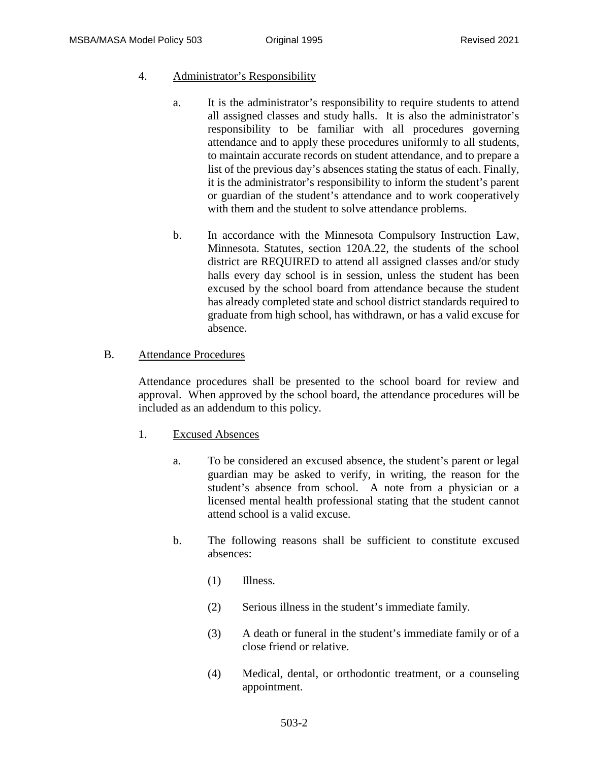## 4. Administrator's Responsibility

- a. It is the administrator's responsibility to require students to attend all assigned classes and study halls. It is also the administrator's responsibility to be familiar with all procedures governing attendance and to apply these procedures uniformly to all students, to maintain accurate records on student attendance, and to prepare a list of the previous day's absences stating the status of each. Finally, it is the administrator's responsibility to inform the student's parent or guardian of the student's attendance and to work cooperatively with them and the student to solve attendance problems.
- b. In accordance with the Minnesota Compulsory Instruction Law, Minnesota. Statutes, section 120A.22, the students of the school district are REQUIRED to attend all assigned classes and/or study halls every day school is in session, unless the student has been excused by the school board from attendance because the student has already completed state and school district standards required to graduate from high school, has withdrawn, or has a valid excuse for absence.

## B. Attendance Procedures

Attendance procedures shall be presented to the school board for review and approval. When approved by the school board, the attendance procedures will be included as an addendum to this policy.

## 1. Excused Absences

- a. To be considered an excused absence, the student's parent or legal guardian may be asked to verify, in writing, the reason for the student's absence from school. A note from a physician or a licensed mental health professional stating that the student cannot attend school is a valid excuse.
- b. The following reasons shall be sufficient to constitute excused absences:
	- (1) Illness.
	- (2) Serious illness in the student's immediate family.
	- (3) A death or funeral in the student's immediate family or of a close friend or relative.
	- (4) Medical, dental, or orthodontic treatment, or a counseling appointment.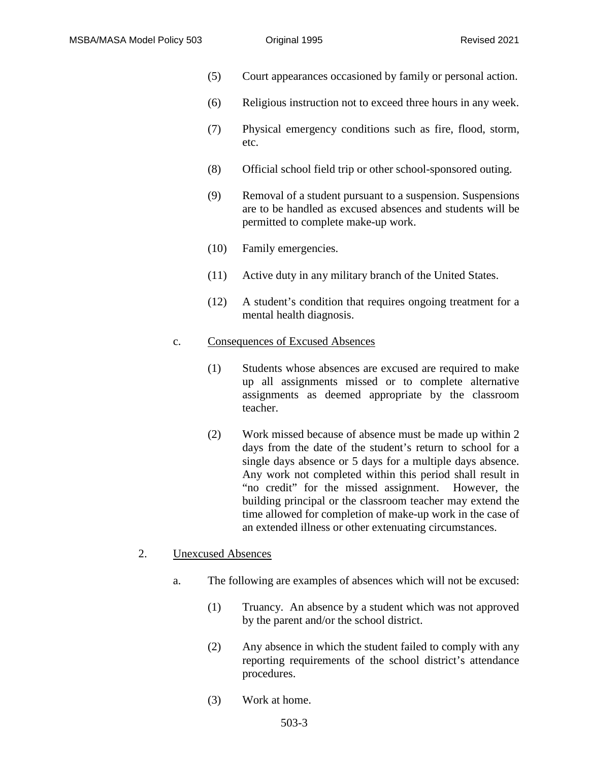- (5) Court appearances occasioned by family or personal action.
- (6) Religious instruction not to exceed three hours in any week.
- (7) Physical emergency conditions such as fire, flood, storm, etc.
- (8) Official school field trip or other school-sponsored outing.
- (9) Removal of a student pursuant to a suspension. Suspensions are to be handled as excused absences and students will be permitted to complete make-up work.
- (10) Family emergencies.
- (11) Active duty in any military branch of the United States.
- (12) A student's condition that requires ongoing treatment for a mental health diagnosis.

#### c. Consequences of Excused Absences

- (1) Students whose absences are excused are required to make up all assignments missed or to complete alternative assignments as deemed appropriate by the classroom teacher.
- (2) Work missed because of absence must be made up within 2 days from the date of the student's return to school for a single days absence or 5 days for a multiple days absence. Any work not completed within this period shall result in "no credit" for the missed assignment. However, the building principal or the classroom teacher may extend the time allowed for completion of make-up work in the case of an extended illness or other extenuating circumstances.

#### 2. Unexcused Absences

- a. The following are examples of absences which will not be excused:
	- (1) Truancy. An absence by a student which was not approved by the parent and/or the school district.
	- (2) Any absence in which the student failed to comply with any reporting requirements of the school district's attendance procedures.
	- (3) Work at home.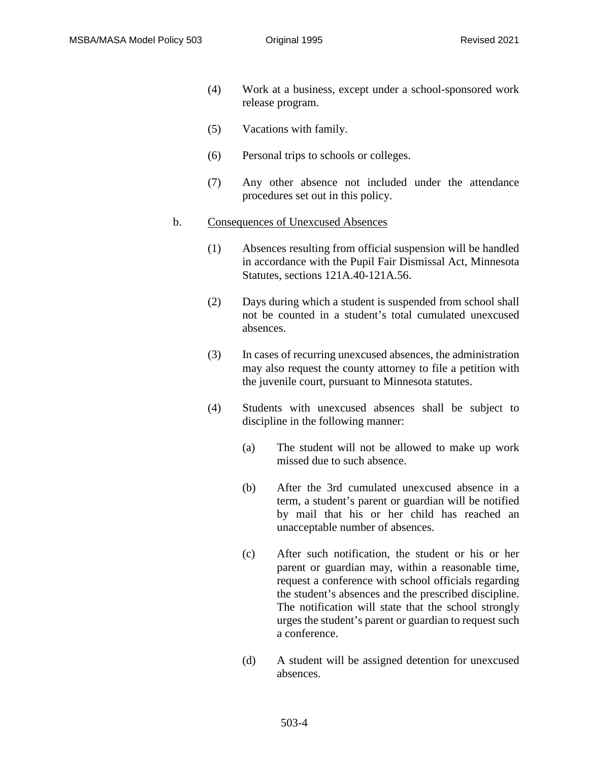- (4) Work at a business, except under a school-sponsored work release program.
- (5) Vacations with family.
- (6) Personal trips to schools or colleges.
- (7) Any other absence not included under the attendance procedures set out in this policy.

#### b. Consequences of Unexcused Absences

- (1) Absences resulting from official suspension will be handled in accordance with the Pupil Fair Dismissal Act, Minnesota Statutes, sections 121A.40-121A.56.
- (2) Days during which a student is suspended from school shall not be counted in a student's total cumulated unexcused absences.
- (3) In cases of recurring unexcused absences, the administration may also request the county attorney to file a petition with the juvenile court, pursuant to Minnesota statutes.
- (4) Students with unexcused absences shall be subject to discipline in the following manner:
	- (a) The student will not be allowed to make up work missed due to such absence.
	- (b) After the 3rd cumulated unexcused absence in a term, a student's parent or guardian will be notified by mail that his or her child has reached an unacceptable number of absences.
	- (c) After such notification, the student or his or her parent or guardian may, within a reasonable time, request a conference with school officials regarding the student's absences and the prescribed discipline. The notification will state that the school strongly urges the student's parent or guardian to request such a conference.
	- (d) A student will be assigned detention for unexcused absences.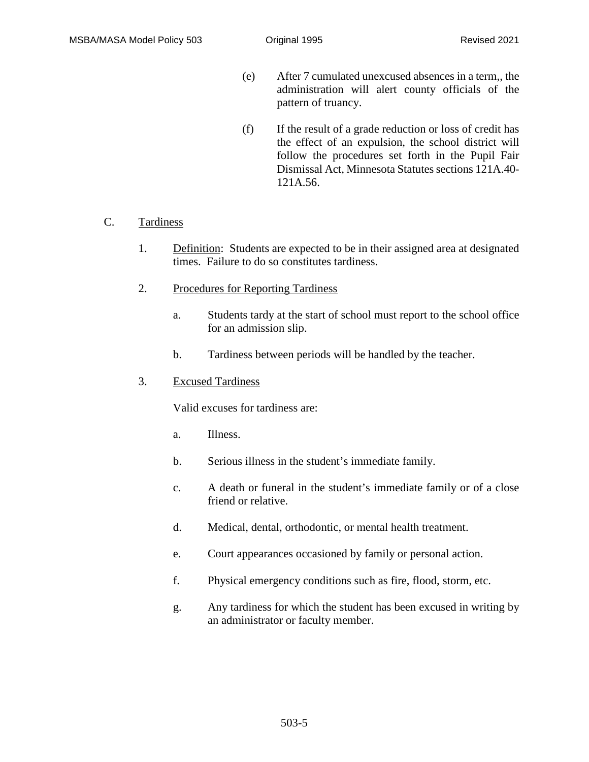- (e) After 7 cumulated unexcused absences in a term,, the administration will alert county officials of the pattern of truancy.
- (f) If the result of a grade reduction or loss of credit has the effect of an expulsion, the school district will follow the procedures set forth in the Pupil Fair Dismissal Act, Minnesota Statutes sections 121A.40-121A.56.

## C. Tardiness

- 1. Definition: Students are expected to be in their assigned area at designated times. Failure to do so constitutes tardiness.
- 2. Procedures for Reporting Tardiness
	- a. Students tardy at the start of school must report to the school office for an admission slip.
	- b. Tardiness between periods will be handled by the teacher.

### 3. Excused Tardiness

Valid excuses for tardiness are:

- a. Illness.
- b. Serious illness in the student's immediate family.
- c. A death or funeral in the student's immediate family or of a close friend or relative.
- d. Medical, dental, orthodontic, or mental health treatment.
- e. Court appearances occasioned by family or personal action.
- f. Physical emergency conditions such as fire, flood, storm, etc.
- g. Any tardiness for which the student has been excused in writing by an administrator or faculty member.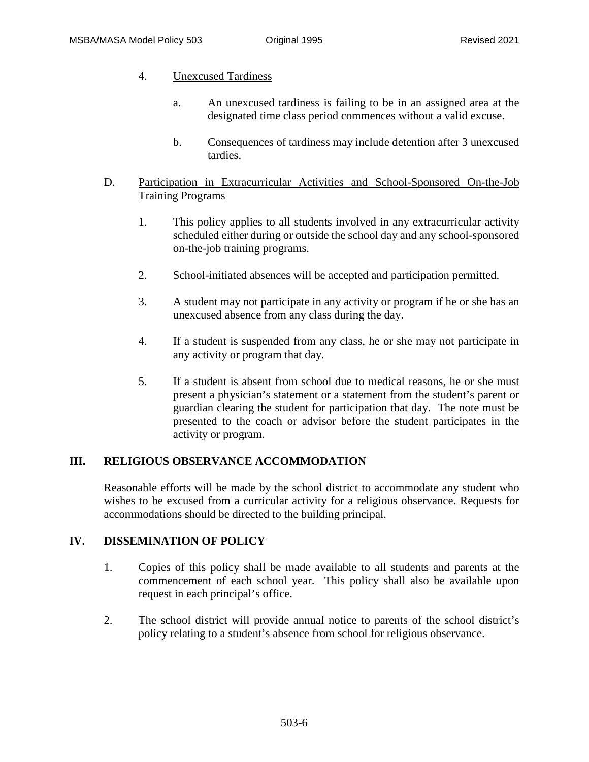- 4. Unexcused Tardiness
	- a. An unexcused tardiness is failing to be in an assigned area at the designated time class period commences without a valid excuse.
	- b. Consequences of tardiness may include detention after 3 unexcused tardies.

## D. Participation in Extracurricular Activities and School-Sponsored On-the-Job Training Programs

- 1. This policy applies to all students involved in any extracurricular activity scheduled either during or outside the school day and any school-sponsored on-the-job training programs.
- 2. School-initiated absences will be accepted and participation permitted.
- 3. A student may not participate in any activity or program if he or she has an unexcused absence from any class during the day.
- 4. If a student is suspended from any class, he or she may not participate in any activity or program that day.
- 5. If a student is absent from school due to medical reasons, he or she must present a physician's statement or a statement from the student's parent or guardian clearing the student for participation that day. The note must be presented to the coach or advisor before the student participates in the activity or program.

# **III. RELIGIOUS OBSERVANCE ACCOMMODATION**

Reasonable efforts will be made by the school district to accommodate any student who wishes to be excused from a curricular activity for a religious observance. Requests for accommodations should be directed to the building principal.

## **IV. DISSEMINATION OF POLICY**

- 1. Copies of this policy shall be made available to all students and parents at the commencement of each school year. This policy shall also be available upon request in each principal's office.
- 2. The school district will provide annual notice to parents of the school district's policy relating to a student's absence from school for religious observance.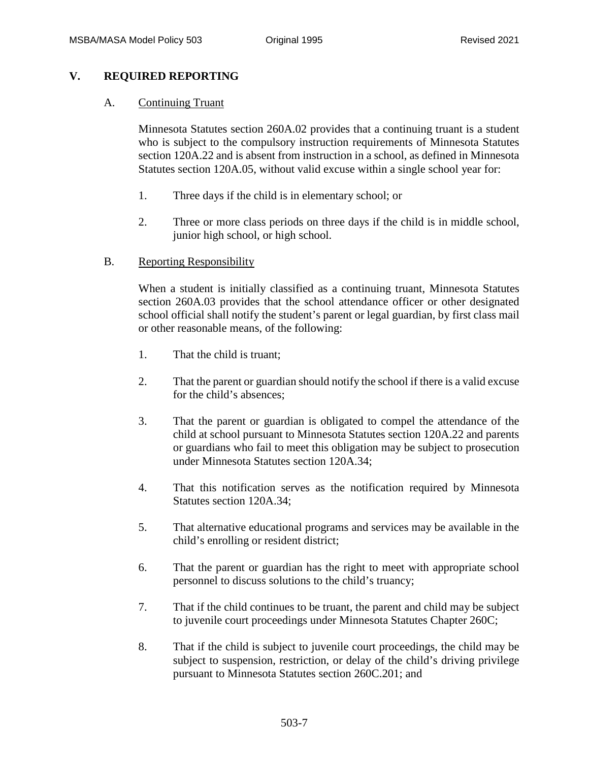## **V. REQUIRED REPORTING**

## A. Continuing Truant

Minnesota Statutes section 260A.02 provides that a continuing truant is a student who is subject to the compulsory instruction requirements of Minnesota Statutes section 120A.22 and is absent from instruction in a school, as defined in Minnesota Statutes section 120A.05, without valid excuse within a single school year for:

- 1. Three days if the child is in elementary school; or
- 2. Three or more class periods on three days if the child is in middle school, junior high school, or high school.

## B. Reporting Responsibility

When a student is initially classified as a continuing truant, Minnesota Statutes section 260A.03 provides that the school attendance officer or other designated school official shall notify the student's parent or legal guardian, by first class mail or other reasonable means, of the following:

- 1. That the child is truant;
- 2. That the parent or guardian should notify the school if there is a valid excuse for the child's absences;
- 3. That the parent or guardian is obligated to compel the attendance of the child at school pursuant to Minnesota Statutes section 120A.22 and parents or guardians who fail to meet this obligation may be subject to prosecution under Minnesota Statutes section 120A.34;
- 4. That this notification serves as the notification required by Minnesota Statutes section 120A.34;
- 5. That alternative educational programs and services may be available in the child's enrolling or resident district;
- 6. That the parent or guardian has the right to meet with appropriate school personnel to discuss solutions to the child's truancy;
- 7. That if the child continues to be truant, the parent and child may be subject to juvenile court proceedings under Minnesota Statutes Chapter 260C;
- 8. That if the child is subject to juvenile court proceedings, the child may be subject to suspension, restriction, or delay of the child's driving privilege pursuant to Minnesota Statutes section 260C.201; and